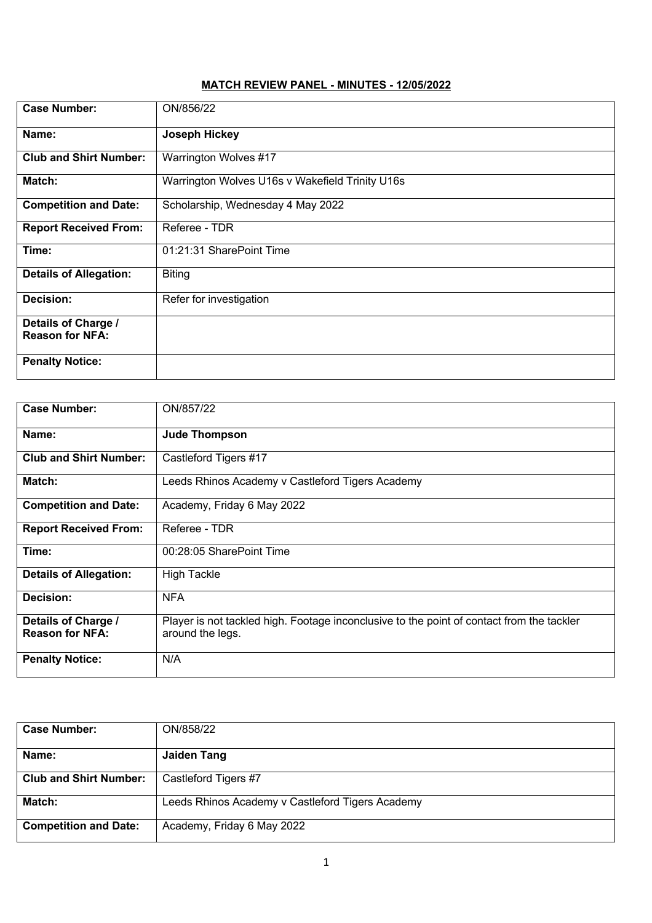## **MATCH REVIEW PANEL - MINUTES - 12/05/2022**

| <b>Case Number:</b>                           | ON/856/22                                       |
|-----------------------------------------------|-------------------------------------------------|
| Name:                                         | <b>Joseph Hickey</b>                            |
| <b>Club and Shirt Number:</b>                 | Warrington Wolves #17                           |
| Match:                                        | Warrington Wolves U16s v Wakefield Trinity U16s |
| <b>Competition and Date:</b>                  | Scholarship, Wednesday 4 May 2022               |
| <b>Report Received From:</b>                  | Referee - TDR                                   |
| Time:                                         | 01:21:31 SharePoint Time                        |
| <b>Details of Allegation:</b>                 | <b>Biting</b>                                   |
| Decision:                                     | Refer for investigation                         |
| Details of Charge /<br><b>Reason for NFA:</b> |                                                 |
| <b>Penalty Notice:</b>                        |                                                 |

| <b>Case Number:</b>           | ON/857/22                                                                                 |
|-------------------------------|-------------------------------------------------------------------------------------------|
| Name:                         | <b>Jude Thompson</b>                                                                      |
| <b>Club and Shirt Number:</b> | Castleford Tigers #17                                                                     |
| Match:                        | Leeds Rhinos Academy v Castleford Tigers Academy                                          |
| <b>Competition and Date:</b>  | Academy, Friday 6 May 2022                                                                |
| <b>Report Received From:</b>  | Referee - TDR                                                                             |
| Time:                         | 00:28:05 SharePoint Time                                                                  |
| <b>Details of Allegation:</b> | <b>High Tackle</b>                                                                        |
| Decision:                     | <b>NFA</b>                                                                                |
| Details of Charge /           | Player is not tackled high. Footage inconclusive to the point of contact from the tackler |
| <b>Reason for NFA:</b>        | around the legs.                                                                          |
| <b>Penalty Notice:</b>        | N/A                                                                                       |

| <b>Case Number:</b>           | ON/858/22                                        |
|-------------------------------|--------------------------------------------------|
| Name:                         | <b>Jaiden Tang</b>                               |
| <b>Club and Shirt Number:</b> | Castleford Tigers #7                             |
| Match:                        | Leeds Rhinos Academy v Castleford Tigers Academy |
| <b>Competition and Date:</b>  | Academy, Friday 6 May 2022                       |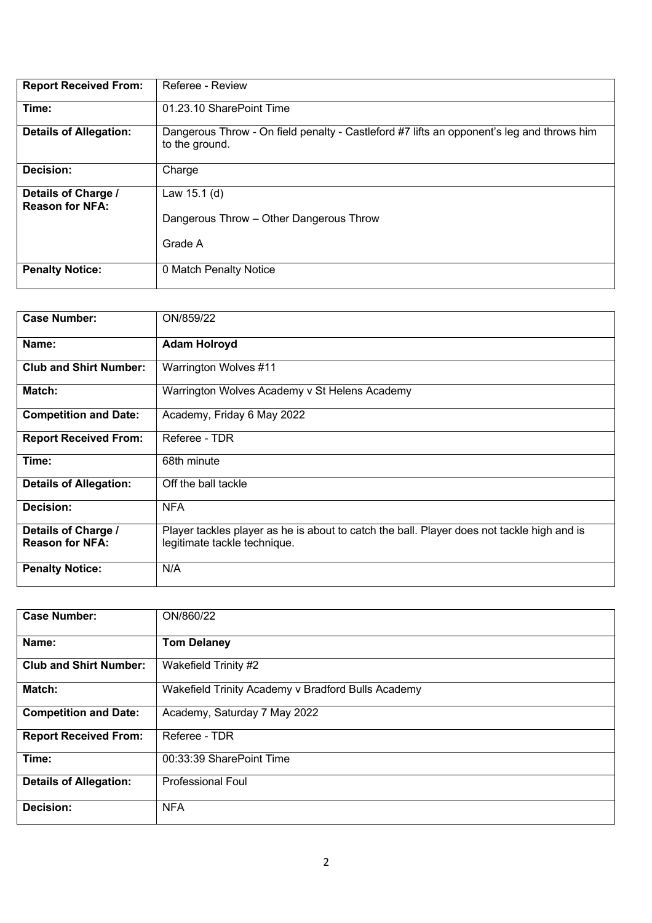| <b>Report Received From:</b>                  | Referee - Review                                                                                            |
|-----------------------------------------------|-------------------------------------------------------------------------------------------------------------|
| Time:                                         | 01.23.10 SharePoint Time                                                                                    |
| <b>Details of Allegation:</b>                 | Dangerous Throw - On field penalty - Castleford #7 lifts an opponent's leg and throws him<br>to the ground. |
| <b>Decision:</b>                              | Charge                                                                                                      |
| Details of Charge /<br><b>Reason for NFA:</b> | Law $15.1$ (d)<br>Dangerous Throw – Other Dangerous Throw<br>Grade A                                        |
| <b>Penalty Notice:</b>                        | 0 Match Penalty Notice                                                                                      |

| <b>Case Number:</b>           | ON/859/22                                                                                  |
|-------------------------------|--------------------------------------------------------------------------------------------|
|                               |                                                                                            |
| Name:                         | <b>Adam Holroyd</b>                                                                        |
| <b>Club and Shirt Number:</b> | Warrington Wolves #11                                                                      |
| Match:                        | Warrington Wolves Academy v St Helens Academy                                              |
| <b>Competition and Date:</b>  | Academy, Friday 6 May 2022                                                                 |
| <b>Report Received From:</b>  | Referee - TDR                                                                              |
| Time:                         | 68th minute                                                                                |
| <b>Details of Allegation:</b> | Off the ball tackle                                                                        |
| Decision:                     | <b>NFA</b>                                                                                 |
| Details of Charge /           | Player tackles player as he is about to catch the ball. Player does not tackle high and is |
| <b>Reason for NFA:</b>        | legitimate tackle technique.                                                               |
| <b>Penalty Notice:</b>        | N/A                                                                                        |

| <b>Case Number:</b>           | ON/860/22                                          |
|-------------------------------|----------------------------------------------------|
| Name:                         | <b>Tom Delaney</b>                                 |
| <b>Club and Shirt Number:</b> | Wakefield Trinity #2                               |
| Match:                        | Wakefield Trinity Academy v Bradford Bulls Academy |
| <b>Competition and Date:</b>  | Academy, Saturday 7 May 2022                       |
| <b>Report Received From:</b>  | Referee - TDR                                      |
| Time:                         | 00:33:39 SharePoint Time                           |
| <b>Details of Allegation:</b> | <b>Professional Foul</b>                           |
| Decision:                     | <b>NFA</b>                                         |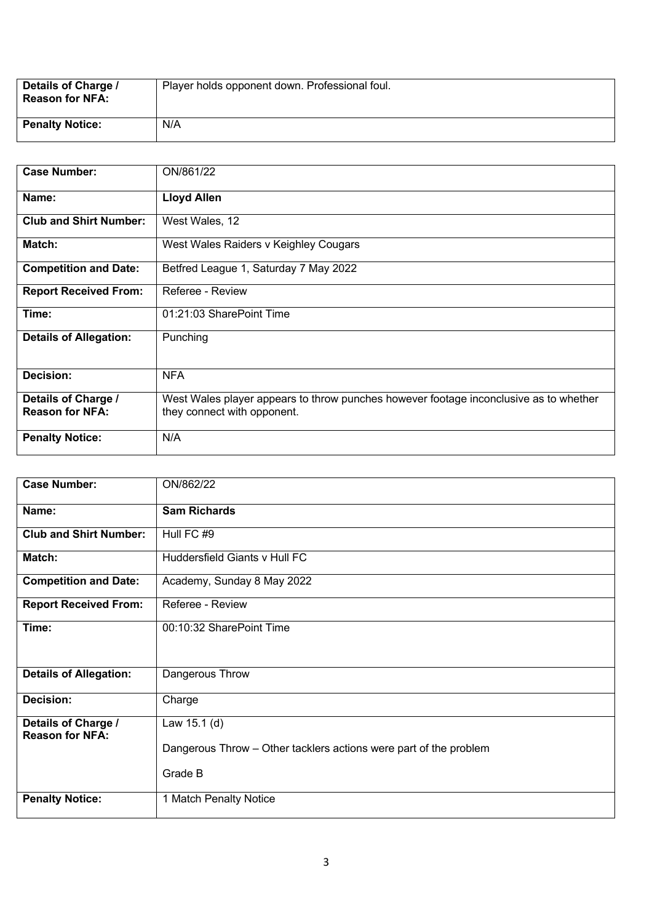| Details of Charge /<br><b>Reason for NFA:</b> | Player holds opponent down. Professional foul. |
|-----------------------------------------------|------------------------------------------------|
| <b>Penalty Notice:</b>                        | N/A                                            |

| <b>Case Number:</b>                           | ON/861/22                                                                                                            |
|-----------------------------------------------|----------------------------------------------------------------------------------------------------------------------|
| Name:                                         | <b>Lloyd Allen</b>                                                                                                   |
| <b>Club and Shirt Number:</b>                 | West Wales, 12                                                                                                       |
| Match:                                        | West Wales Raiders v Keighley Cougars                                                                                |
| <b>Competition and Date:</b>                  | Betfred League 1, Saturday 7 May 2022                                                                                |
| <b>Report Received From:</b>                  | Referee - Review                                                                                                     |
| Time:                                         | 01:21:03 SharePoint Time                                                                                             |
| <b>Details of Allegation:</b>                 | Punching                                                                                                             |
| <b>Decision:</b>                              | <b>NFA</b>                                                                                                           |
| Details of Charge /<br><b>Reason for NFA:</b> | West Wales player appears to throw punches however footage inconclusive as to whether<br>they connect with opponent. |
| <b>Penalty Notice:</b>                        | N/A                                                                                                                  |

| <b>Case Number:</b>                           | ON/862/22                                                                                    |
|-----------------------------------------------|----------------------------------------------------------------------------------------------|
| Name:                                         | <b>Sam Richards</b>                                                                          |
| <b>Club and Shirt Number:</b>                 | Hull FC #9                                                                                   |
| Match:                                        | Huddersfield Giants v Hull FC                                                                |
| <b>Competition and Date:</b>                  | Academy, Sunday 8 May 2022                                                                   |
| <b>Report Received From:</b>                  | Referee - Review                                                                             |
| Time:                                         | 00:10:32 SharePoint Time                                                                     |
| <b>Details of Allegation:</b>                 | Dangerous Throw                                                                              |
| Decision:                                     | Charge                                                                                       |
| Details of Charge /<br><b>Reason for NFA:</b> | Law 15.1 (d)<br>Dangerous Throw – Other tacklers actions were part of the problem<br>Grade B |
| <b>Penalty Notice:</b>                        | 1 Match Penalty Notice                                                                       |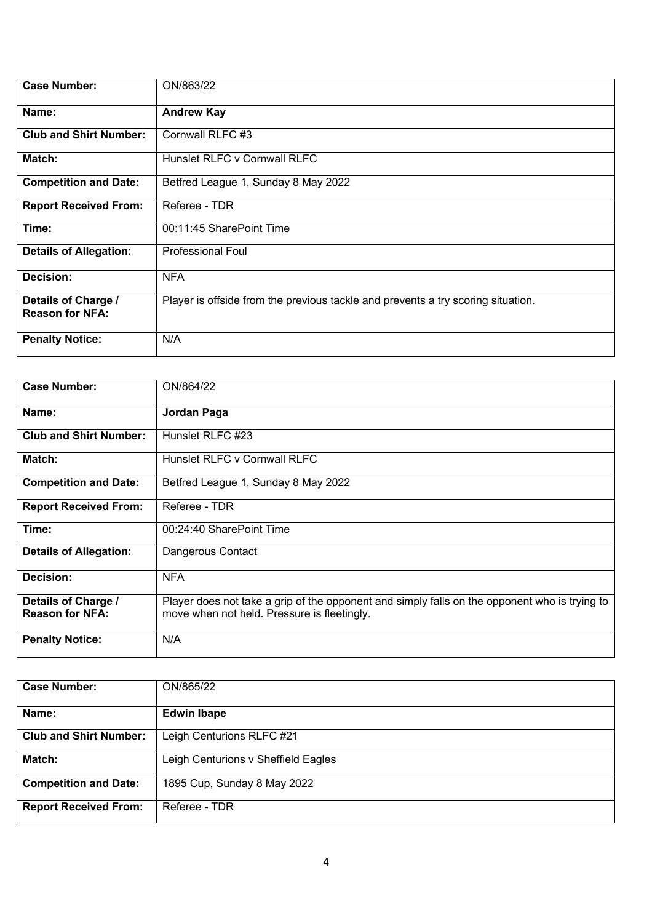| <b>Case Number:</b>                           | ON/863/22                                                                        |
|-----------------------------------------------|----------------------------------------------------------------------------------|
| Name:                                         | <b>Andrew Kay</b>                                                                |
| <b>Club and Shirt Number:</b>                 | Cornwall RLFC #3                                                                 |
| Match:                                        | Hunslet RLFC v Cornwall RLFC                                                     |
| <b>Competition and Date:</b>                  | Betfred League 1, Sunday 8 May 2022                                              |
| <b>Report Received From:</b>                  | Referee - TDR                                                                    |
| Time:                                         | 00:11:45 SharePoint Time                                                         |
| <b>Details of Allegation:</b>                 | <b>Professional Foul</b>                                                         |
| Decision:                                     | <b>NFA</b>                                                                       |
| Details of Charge /<br><b>Reason for NFA:</b> | Player is offside from the previous tackle and prevents a try scoring situation. |
| <b>Penalty Notice:</b>                        | N/A                                                                              |

| <b>Case Number:</b>           | ON/864/22                                                                                     |
|-------------------------------|-----------------------------------------------------------------------------------------------|
|                               |                                                                                               |
| Name:                         | Jordan Paga                                                                                   |
| <b>Club and Shirt Number:</b> | Hunslet RLFC #23                                                                              |
| Match:                        | Hunslet RLFC v Cornwall RLFC                                                                  |
| <b>Competition and Date:</b>  | Betfred League 1, Sunday 8 May 2022                                                           |
| <b>Report Received From:</b>  | Referee - TDR                                                                                 |
| Time:                         | 00:24:40 SharePoint Time                                                                      |
| <b>Details of Allegation:</b> | Dangerous Contact                                                                             |
| Decision:                     | <b>NFA</b>                                                                                    |
| Details of Charge /           | Player does not take a grip of the opponent and simply falls on the opponent who is trying to |
| <b>Reason for NFA:</b>        | move when not held. Pressure is fleetingly.                                                   |
| <b>Penalty Notice:</b>        | N/A                                                                                           |

| <b>Case Number:</b>           | ON/865/22                           |
|-------------------------------|-------------------------------------|
| Name:                         | <b>Edwin Ibape</b>                  |
| <b>Club and Shirt Number:</b> | Leigh Centurions RLFC #21           |
| Match:                        | Leigh Centurions v Sheffield Eagles |
| <b>Competition and Date:</b>  | 1895 Cup, Sunday 8 May 2022         |
| <b>Report Received From:</b>  | Referee - TDR                       |